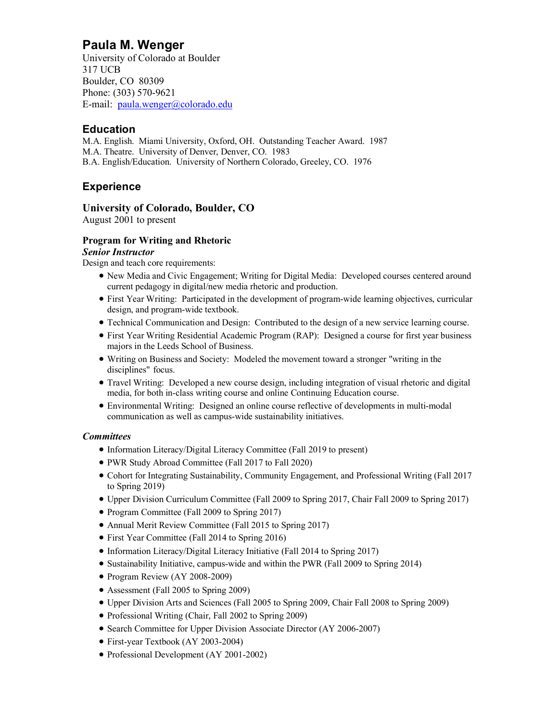## **Paula M. Wenger**

University of Colorado at Boulder 317 UCB Boulder, CO 80309 Phone: (303) 570-9621 E-mail: paula.wenger@colorado.edu

## **Education**

M.A. English. Miami University, Oxford, OH. Outstanding Teacher Award. 1987 M.A. Theatre. University of Denver, Denver, CO. 1983 B.A. English/Education. University of Northern Colorado, Greeley, CO. 1976

## **Experience**

#### **University of Colorado, Boulder, CO**

August 2001 to present

#### **Program for Writing and Rhetoric**

#### *Senior Instructor*

Design and teach core requirements:

- New Media and Civic Engagement; Writing for Digital Media: Developed courses centered around current pedagogy in digital/new media rhetoric and production.
- First Year Writing: Participated in the development of program-wide learning objectives, curricular design, and program-wide textbook.
- Technical Communication and Design: Contributed to the design of a new service learning course.
- First Year Writing Residential Academic Program (RAP): Designed a course for first year business majors in the Leeds School of Business.
- Writing on Business and Society: Modeled the movement toward a stronger "writing in the disciplines" focus.
- Travel Writing: Developed a new course design, including integration of visual rhetoric and digital media, for both in-class writing course and online Continuing Education course.
- Environmental Writing: Designed an online course reflective of developments in multi-modal communication as well as campus-wide sustainability initiatives.

#### *Committees*

- Information Literacy/Digital Literacy Committee (Fall 2019 to present)
- PWR Study Abroad Committee (Fall 2017 to Fall 2020)
- Cohort for Integrating Sustainability, Community Engagement, and Professional Writing (Fall 2017 to Spring 2019)
- Upper Division Curriculum Committee (Fall 2009 to Spring 2017, Chair Fall 2009 to Spring 2017)
- Program Committee (Fall 2009 to Spring 2017)
- Annual Merit Review Committee (Fall 2015 to Spring 2017)
- First Year Committee (Fall 2014 to Spring 2016)
- Information Literacy/Digital Literacy Initiative (Fall 2014 to Spring 2017)
- Sustainability Initiative, campus-wide and within the PWR (Fall 2009 to Spring 2014)
- Program Review (AY 2008-2009)
- Assessment (Fall 2005 to Spring 2009)
- Upper Division Arts and Sciences (Fall 2005 to Spring 2009, Chair Fall 2008 to Spring 2009)
- Professional Writing (Chair, Fall 2002 to Spring 2009)
- Search Committee for Upper Division Associate Director (AY 2006-2007)
- First-year Textbook (AY 2003-2004)
- Professional Development (AY 2001-2002)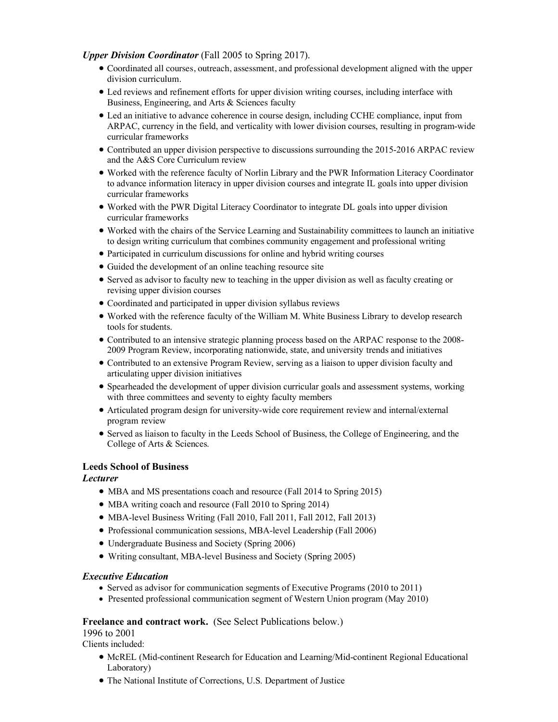#### *Upper Division Coordinator* (Fall 2005 to Spring 2017).

- Coordinated all courses, outreach, assessment, and professional development aligned with the upper division curriculum.
- Led reviews and refinement efforts for upper division writing courses, including interface with Business, Engineering, and Arts & Sciences faculty
- Led an initiative to advance coherence in course design, including CCHE compliance, input from ARPAC, currency in the field, and verticality with lower division courses, resulting in program-wide curricular frameworks
- Contributed an upper division perspective to discussions surrounding the 2015-2016 ARPAC review and the A&S Core Curriculum review
- Worked with the reference faculty of Norlin Library and the PWR Information Literacy Coordinator to advance information literacy in upper division courses and integrate IL goals into upper division curricular frameworks
- Worked with the PWR Digital Literacy Coordinator to integrate DL goals into upper division curricular frameworks
- Worked with the chairs of the Service Learning and Sustainability committees to launch an initiative to design writing curriculum that combines community engagement and professional writing
- Participated in curriculum discussions for online and hybrid writing courses
- Guided the development of an online teaching resource site
- Served as advisor to faculty new to teaching in the upper division as well as faculty creating or revising upper division courses
- Coordinated and participated in upper division syllabus reviews
- Worked with the reference faculty of the William M. White Business Library to develop research tools for students.
- Contributed to an intensive strategic planning process based on the ARPAC response to the 2008- 2009 Program Review, incorporating nationwide, state, and university trends and initiatives
- Contributed to an extensive Program Review, serving as a liaison to upper division faculty and articulating upper division initiatives
- Spearheaded the development of upper division curricular goals and assessment systems, working with three committees and seventy to eighty faculty members
- Articulated program design for university-wide core requirement review and internal/external program review
- Served as liaison to faculty in the Leeds School of Business, the College of Engineering, and the College of Arts & Sciences.

#### **Leeds School of Business**

#### *Lecturer*

- MBA and MS presentations coach and resource (Fall 2014 to Spring 2015)
- MBA writing coach and resource (Fall 2010 to Spring 2014)
- MBA-level Business Writing (Fall 2010, Fall 2011, Fall 2012, Fall 2013)
- Professional communication sessions, MBA-level Leadership (Fall 2006)
- Undergraduate Business and Society (Spring 2006)
- Writing consultant, MBA-level Business and Society (Spring 2005)

#### *Executive Education*

- Served as advisor for communication segments of Executive Programs (2010 to 2011)
- Presented professional communication segment of Western Union program (May 2010)

#### Freelance and contract work. (See Select Publications below.)

1996 to 2001

Clients included:

- McREL (Mid-continent Research for Education and Learning/Mid-continent Regional Educational Laboratory)
- The National Institute of Corrections, U.S. Department of Justice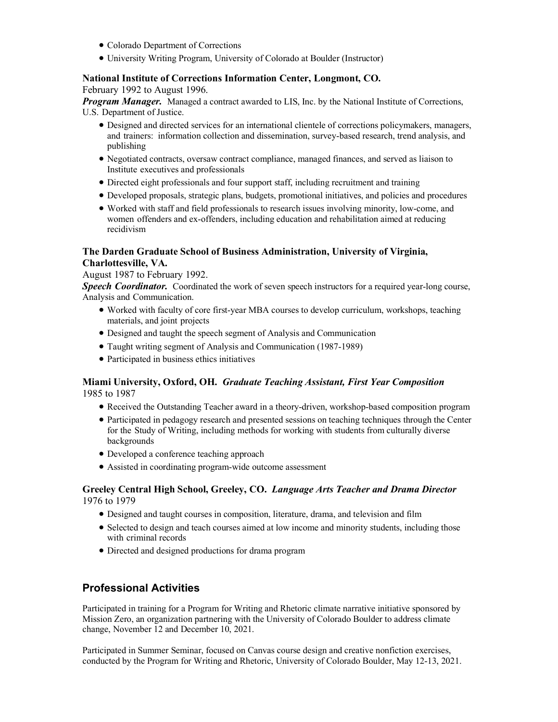- Colorado Department of Corrections
- University Writing Program, University of Colorado at Boulder (Instructor)

# **National Institute of Corrections Information Center, Longmont, CO.**

February 1992 to August 1996.

*Program Manager.* Managed a contract awarded to LIS, Inc. by the National Institute of Corrections, U.S. Department of Justice.

- Designed and directed services for an international clientele of corrections policymakers, managers, and trainers: information collection and dissemination, survey-based research, trend analysis, and publishing
- Negotiated contracts, oversaw contract compliance, managed finances, and served as liaison to Institute executives and professionals
- Directed eight professionals and four support staff, including recruitment and training
- Developed proposals, strategic plans, budgets, promotional initiatives, and policies and procedures
- Worked with staff and field professionals to research issues involving minority, low-come, and women offenders and ex-offenders, including education and rehabilitation aimed at reducing recidivism

#### **The Darden Graduate School of Business Administration, University of Virginia, Charlottesville, VA.**

August 1987 to February 1992.

**Speech Coordinator.** Coordinated the work of seven speech instructors for a required year-long course, Analysis and Communication.

- Worked with faculty of core first-year MBA courses to develop curriculum, workshops, teaching materials, and joint projects
- Designed and taught the speech segment of Analysis and Communication
- Taught writing segment of Analysis and Communication (1987-1989)
- Participated in business ethics initiatives

#### **Miami University, Oxford, OH.** *Graduate Teaching Assistant, First Year Composition* 1985 to 1987

- Received the Outstanding Teacher award in a theory-driven, workshop-based composition program
- Participated in pedagogy research and presented sessions on teaching techniques through the Center for the Study of Writing, including methods for working with students from culturally diverse backgrounds
- Developed a conference teaching approach
- Assisted in coordinating program-wide outcome assessment

#### **Greeley Central High School, Greeley, CO.** *Language Arts Teacher and Drama Director* 1976 to 1979

- Designed and taught courses in composition, literature, drama, and television and film
- Selected to design and teach courses aimed at low income and minority students, including those with criminal records
- Directed and designed productions for drama program

### **Professional Activities**

Participated in training for a Program for Writing and Rhetoric climate narrative initiative sponsored by Mission Zero, an organization partnering with the University of Colorado Boulder to address climate change, November 12 and December 10, 2021.

Participated in Summer Seminar, focused on Canvas course design and creative nonfiction exercises, conducted by the Program for Writing and Rhetoric, University of Colorado Boulder, May 12-13, 2021.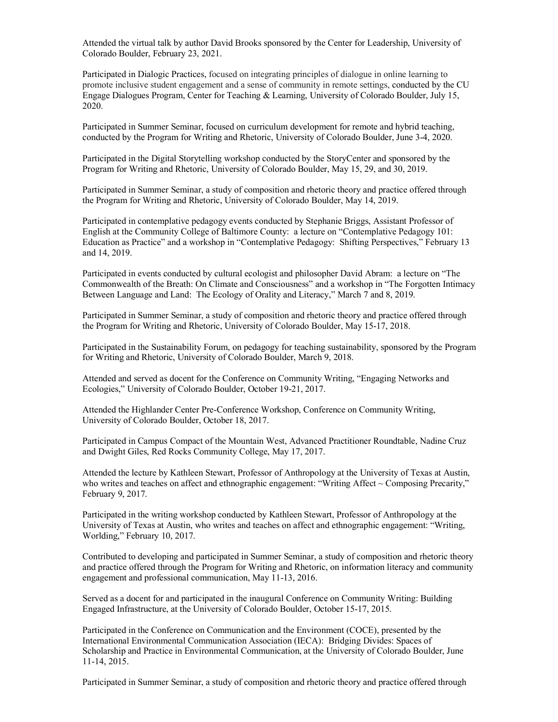Attended the virtual talk by author David Brooks sponsored by the Center for Leadership, University of Colorado Boulder, February 23, 2021.

Participated in Dialogic Practices, focused on integrating principles of dialogue in online learning to promote inclusive student engagement and a sense of community in remote settings, conducted by the CU Engage Dialogues Program, Center for Teaching & Learning, University of Colorado Boulder, July 15, 2020.

Participated in Summer Seminar, focused on curriculum development for remote and hybrid teaching, conducted by the Program for Writing and Rhetoric, University of Colorado Boulder, June 3-4, 2020.

Participated in the Digital Storytelling workshop conducted by the StoryCenter and sponsored by the Program for Writing and Rhetoric, University of Colorado Boulder, May 15, 29, and 30, 2019.

Participated in Summer Seminar, a study of composition and rhetoric theory and practice offered through the Program for Writing and Rhetoric, University of Colorado Boulder, May 14, 2019.

Participated in contemplative pedagogy events conducted by Stephanie Briggs, Assistant Professor of English at the Community College of Baltimore County: a lecture on "Contemplative Pedagogy 101: Education as Practice" and a workshop in "Contemplative Pedagogy: Shifting Perspectives," February 13 and 14, 2019.

Participated in events conducted by cultural ecologist and philosopher David Abram: a lecture on "The Commonwealth of the Breath: On Climate and Consciousness" and a workshop in "The Forgotten Intimacy Between Language and Land: The Ecology of Orality and Literacy," March 7 and 8, 2019.

Participated in Summer Seminar, a study of composition and rhetoric theory and practice offered through the Program for Writing and Rhetoric, University of Colorado Boulder, May 15-17, 2018.

Participated in the Sustainability Forum, on pedagogy for teaching sustainability, sponsored by the Program for Writing and Rhetoric, University of Colorado Boulder, March 9, 2018.

Attended and served as docent for the Conference on Community Writing, "Engaging Networks and Ecologies," University of Colorado Boulder, October 19-21, 2017.

Attended the Highlander Center Pre-Conference Workshop, Conference on Community Writing, University of Colorado Boulder, October 18, 2017.

Participated in Campus Compact of the Mountain West, Advanced Practitioner Roundtable, Nadine Cruz and Dwight Giles, Red Rocks Community College, May 17, 2017.

Attended the lecture by Kathleen Stewart, Professor of Anthropology at the University of Texas at Austin, who writes and teaches on affect and ethnographic engagement: "Writing Affect  $\sim$  Composing Precarity," February 9, 2017.

Participated in the writing workshop conducted by Kathleen Stewart, Professor of Anthropology at the University of Texas at Austin, who writes and teaches on affect and ethnographic engagement: "Writing, Worlding," February 10, 2017.

Contributed to developing and participated in Summer Seminar, a study of composition and rhetoric theory and practice offered through the Program for Writing and Rhetoric, on information literacy and community engagement and professional communication, May 11-13, 2016.

Served as a docent for and participated in the inaugural Conference on Community Writing: Building Engaged Infrastructure, at the University of Colorado Boulder, October 15-17, 2015.

Participated in the Conference on Communication and the Environment (COCE), presented by the International Environmental Communication Association (IECA): Bridging Divides: Spaces of Scholarship and Practice in Environmental Communication, at the University of Colorado Boulder, June 11-14, 2015.

Participated in Summer Seminar, a study of composition and rhetoric theory and practice offered through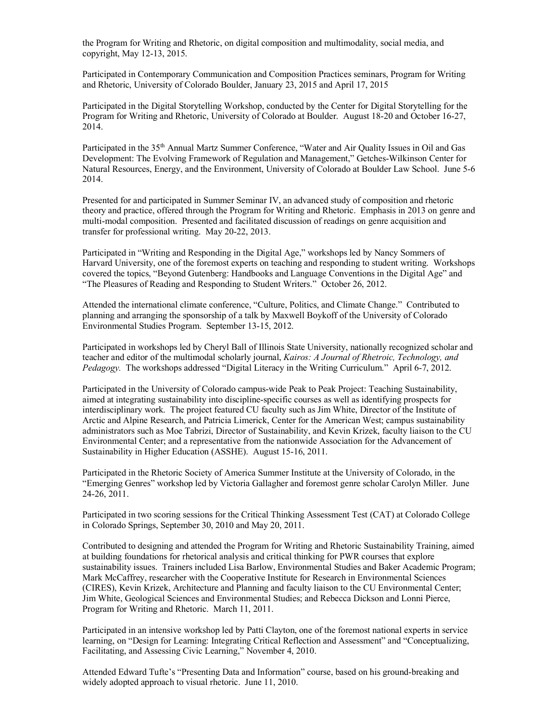the Program for Writing and Rhetoric, on digital composition and multimodality, social media, and copyright, May 12-13, 2015.

Participated in Contemporary Communication and Composition Practices seminars, Program for Writing and Rhetoric, University of Colorado Boulder, January 23, 2015 and April 17, 2015

Participated in the Digital Storytelling Workshop, conducted by the Center for Digital Storytelling for the Program for Writing and Rhetoric, University of Colorado at Boulder. August 18-20 and October 16-27, 2014.

Participated in the 35<sup>th</sup> Annual Martz Summer Conference, "Water and Air Quality Issues in Oil and Gas Development: The Evolving Framework of Regulation and Management," Getches-Wilkinson Center for Natural Resources, Energy, and the Environment, University of Colorado at Boulder Law School. June 5-6 2014.

Presented for and participated in Summer Seminar IV, an advanced study of composition and rhetoric theory and practice, offered through the Program for Writing and Rhetoric. Emphasis in 2013 on genre and multi-modal composition. Presented and facilitated discussion of readings on genre acquisition and transfer for professional writing. May 20-22, 2013.

Participated in "Writing and Responding in the Digital Age," workshops led by Nancy Sommers of Harvard University, one of the foremost experts on teaching and responding to student writing. Workshops covered the topics, "Beyond Gutenberg: Handbooks and Language Conventions in the Digital Age" and "The Pleasures of Reading and Responding to Student Writers." October 26, 2012.

Attended the international climate conference, "Culture, Politics, and Climate Change." Contributed to planning and arranging the sponsorship of a talk by Maxwell Boykoff of the University of Colorado Environmental Studies Program. September 13-15, 2012.

Participated in workshops led by Cheryl Ball of Illinois State University, nationally recognized scholar and teacher and editor of the multimodal scholarly journal, *Kairos: A Journal of Rhetroic, Technology, and Pedagogy.* The workshops addressed "Digital Literacy in the Writing Curriculum." April 6-7, 2012.

Participated in the University of Colorado campus-wide Peak to Peak Project: Teaching Sustainability, aimed at integrating sustainability into discipline-specific courses as well as identifying prospects for interdisciplinary work. The project featured CU faculty such as Jim White, Director of the Institute of Arctic and Alpine Research, and Patricia Limerick, Center for the American West; campus sustainability administrators such as Moe Tabrizi, Director of Sustainability, and Kevin Krizek, faculty liaison to the CU Environmental Center; and a representative from the nationwide Association for the Advancement of Sustainability in Higher Education (ASSHE). August 15-16, 2011.

Participated in the Rhetoric Society of America Summer Institute at the University of Colorado, in the "Emerging Genres" workshop led by Victoria Gallagher and foremost genre scholar Carolyn Miller. June 24-26, 2011.

Participated in two scoring sessions for the Critical Thinking Assessment Test (CAT) at Colorado College in Colorado Springs, September 30, 2010 and May 20, 2011.

Contributed to designing and attended the Program for Writing and Rhetoric Sustainability Training, aimed at building foundations for rhetorical analysis and critical thinking for PWR courses that explore sustainability issues. Trainers included Lisa Barlow, Environmental Studies and Baker Academic Program; Mark McCaffrey, researcher with the Cooperative Institute for Research in Environmental Sciences (CIRES), Kevin Krizek, Architecture and Planning and faculty liaison to the CU Environmental Center; Jim White, Geological Sciences and Environmental Studies; and Rebecca Dickson and Lonni Pierce, Program for Writing and Rhetoric. March 11, 2011.

Participated in an intensive workshop led by Patti Clayton, one of the foremost national experts in service learning, on "Design for Learning: Integrating Critical Reflection and Assessment" and "Conceptualizing, Facilitating, and Assessing Civic Learning," November 4, 2010.

Attended Edward Tufte's "Presenting Data and Information" course, based on his ground-breaking and widely adopted approach to visual rhetoric. June 11, 2010.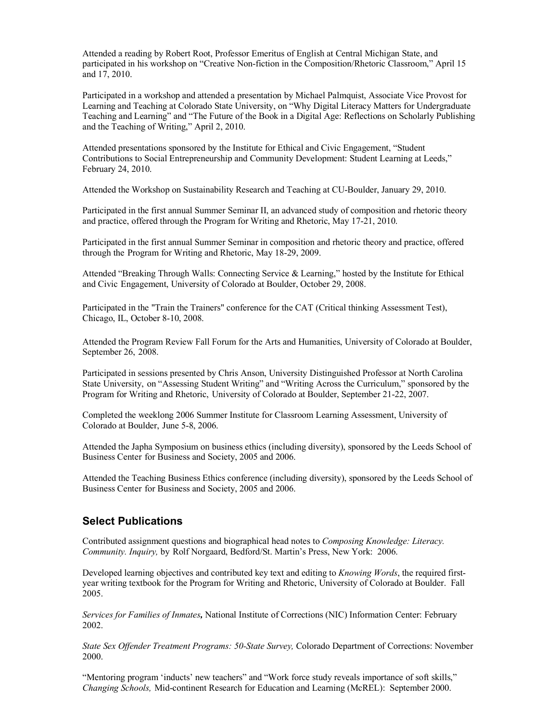Attended a reading by Robert Root, Professor Emeritus of English at Central Michigan State, and participated in his workshop on "Creative Non-fiction in the Composition/Rhetoric Classroom," April 15 and 17, 2010.

Participated in a workshop and attended a presentation by Michael Palmquist, Associate Vice Provost for Learning and Teaching at Colorado State University, on "Why Digital Literacy Matters for Undergraduate Teaching and Learning" and "The Future of the Book in a Digital Age: Reflections on Scholarly Publishing and the Teaching of Writing," April 2, 2010.

Attended presentations sponsored by the Institute for Ethical and Civic Engagement, "Student Contributions to Social Entrepreneurship and Community Development: Student Learning at Leeds," February 24, 2010.

Attended the Workshop on Sustainability Research and Teaching at CU-Boulder, January 29, 2010.

Participated in the first annual Summer Seminar II, an advanced study of composition and rhetoric theory and practice, offered through the Program for Writing and Rhetoric, May 17-21, 2010.

Participated in the first annual Summer Seminar in composition and rhetoric theory and practice, offered through the Program for Writing and Rhetoric, May 18-29, 2009.

Attended "Breaking Through Walls: Connecting Service & Learning," hosted by the Institute for Ethical and Civic Engagement, University of Colorado at Boulder, October 29, 2008.

Participated in the "Train the Trainers" conference for the CAT (Critical thinking Assessment Test), Chicago, IL, October 8-10, 2008.

Attended the Program Review Fall Forum for the Arts and Humanities, University of Colorado at Boulder, September 26, 2008.

Participated in sessions presented by Chris Anson, University Distinguished Professor at North Carolina State University, on "Assessing Student Writing" and "Writing Across the Curriculum," sponsored by the Program for Writing and Rhetoric, University of Colorado at Boulder, September 21-22, 2007.

Completed the weeklong 2006 Summer Institute for Classroom Learning Assessment, University of Colorado at Boulder, June 5-8, 2006.

Attended the Japha Symposium on business ethics (including diversity), sponsored by the Leeds School of Business Center for Business and Society, 2005 and 2006.

Attended the Teaching Business Ethics conference (including diversity), sponsored by the Leeds School of Business Center for Business and Society, 2005 and 2006.

#### **Select Publications**

Contributed assignment questions and biographical head notes to *Composing Knowledge: Literacy. Community. Inquiry,* by Rolf Norgaard, Bedford/St. Martin's Press, New York: 2006.

Developed learning objectives and contributed key text and editing to *Knowing Words*, the required firstyear writing textbook for the Program for Writing and Rhetoric, University of Colorado at Boulder. Fall 2005.

*Services for Families of Inmates,* National Institute of Corrections (NIC) Information Center: February 2002.

*State Sex Offender Treatment Programs: 50-State Survey,* Colorado Department of Corrections: November 2000.

"Mentoring program 'inducts' new teachers" and "Work force study reveals importance of soft skills," *Changing Schools,* Mid-continent Research for Education and Learning (McREL): September 2000.